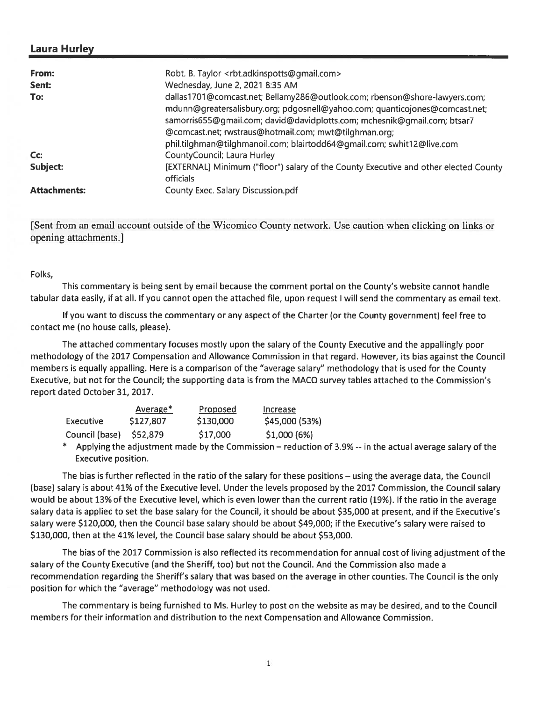# Laura Hurley

| From:<br>Sent:<br>To: | Robt. B. Taylor <rbt.adkinspotts@gmail.com><br/>Wednesday, June 2, 2021 8:35 AM<br/>dallas1701@comcast.net; Bellamy286@outlook.com; rbenson@shore-lawyers.com;<br/>mdunn@greatersalisbury.org; pdgosnell@yahoo.com; quanticojones@comcast.net;<br/>samorris655@gmail.com; david@davidplotts.com; mchesnik@gmail.com; btsar7<br/>@comcast.net; rwstraus@hotmail.com; mwt@tilghman.org;<br/>phil.tilghman@tilghmanoil.com; blairtodd64@gmail.com; swhit12@live.com</rbt.adkinspotts@gmail.com> |
|-----------------------|----------------------------------------------------------------------------------------------------------------------------------------------------------------------------------------------------------------------------------------------------------------------------------------------------------------------------------------------------------------------------------------------------------------------------------------------------------------------------------------------|
| Cc:                   | CountyCouncil; Laura Hurley                                                                                                                                                                                                                                                                                                                                                                                                                                                                  |
| Subject:              | [EXTERNAL] Minimum ("floor") salary of the County Executive and other elected County<br><b>officials</b>                                                                                                                                                                                                                                                                                                                                                                                     |
| <b>Attachments:</b>   | County Exec. Salary Discussion.pdf                                                                                                                                                                                                                                                                                                                                                                                                                                                           |

[Sent from an email account outside of the Wicomico County network. Use caution when clicking on links or opening attachments.]

Folks,

This commentary is being sent by email because the comment portal on the County's website cannot handle tabular data easily, if at all. If you cannot open the attached file, upon reques<sup>t</sup> I will send the commentary as email text.

If you want to discuss the commentary or any aspec<sup>t</sup> of the Charter (or the County government) feel free to contact me (no house calls, please).

The attached commentary focuses mostly upon the salary of the County Executive and the appallingly poor methodology of the 2017 Compensation and Allowance Commission in that regard. However, its bias against the Council members is equally appalling. Here is <sup>a</sup> comparison of the "average salary" methodology that is used for the County Executive, but not for the Council; the supporting data is from the MACO survey tables attached to the Commission's repor<sup>t</sup> dated October 31, 2017.

|                | Average*  | Proposed  | Increase       |
|----------------|-----------|-----------|----------------|
| Executive      | \$127,807 | \$130,000 | \$45,000 (53%) |
| Council (base) | S52,879   | \$17,000  | \$1,000(6%)    |

\* Applying the adjustment made by the Commission — reduction of 3.9% -- in the actual average salary of the Executive position.

The bias is further reflected in the ratio of the salary for these positions — using the average data, the Council (base) salary is about 41% of the Executive level. Under the levels proposed by the 2017 Commission, the Council salary would be about 13% of the Executive level, which is even lower than the current ratio (19%). If the ratio in the average salary data is applied to set the base salary for the Council, it should be about \$35,000 at present, and if the Executive's salary were \$120,000, then the Council base salary should be about \$49,000; if the Executive's salary were raised to \$130,000, then at the 41% level, the Council base salary should be about \$53,000.

The bias of the 2017 Commission is also reflected its recommendation for annual cost of living adjustment of the salary of the County Executive (and the Sheriff, too) but not the Council. And the Commission also made <sup>a</sup> recommendation regarding the Sheriff's salary that was based on the average in other counties. The Council is the only position for which the "average" methodology was not used.

The commentary is being furnished to Ms. Hurley to pos<sup>t</sup> on the website as may be desired, and to the Council members for their information and distribution to the next Compensation and Allowance Commission.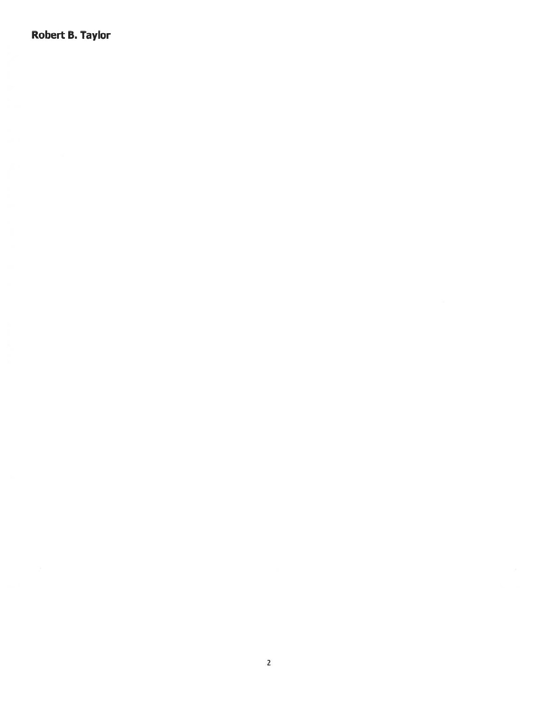Robert B. Taylor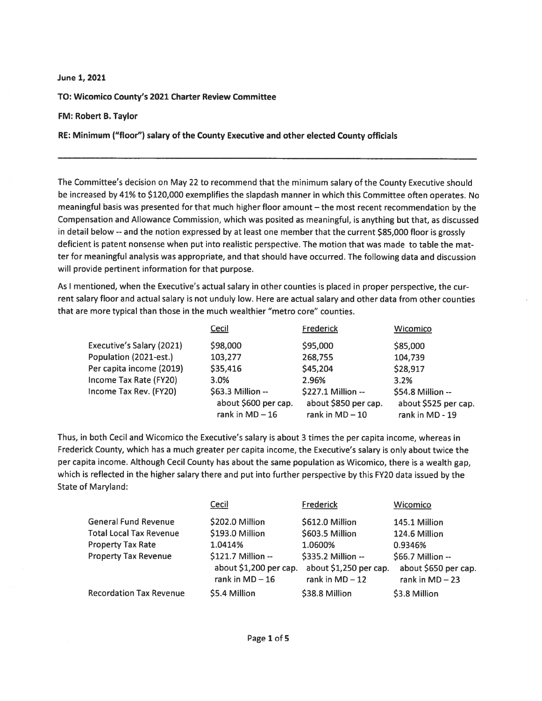#### June 1, 2021

TO: Wicomico County's 2021 Charter Review Committee

#### FM: Robert B. Taylor

RE: Minimum ("floor") salary of the County Executive and other elected County officials

The Committee's decision on May <sup>22</sup> to recommend that the minimum salary of the County Executive should be increased by 41% to \$120,000 exemplifies the slapdash manner in which this Committee often operates. No meaningful basis was presented for that much higher floor amount — the most recent recommendation by the Compensation and Allowance Commission, which was posited as meaningful, is anything but that, as discussed in detail below --and the notion expressed by at least one member that the current \$85,000 floor is grossly deficient is patent nonsense when pu<sup>t</sup> into realistic perspective. The motion that was made to table the mat ter for meaningful analysis was appropriate, and that should have occurred. The following data and discussion will provide pertinent information for that purpose.

As <sup>I</sup> mentioned, when the Executive's actual salary in other counties is <sup>p</sup>laced in proper perspective, the cur rent salary floor and actual salary is not unduly low. Here are actual salary and other data from other counties that are more typical than those in the much wealthier "metro core" counties.

|                           | Cecil                                                          | Frederick                                                       | Wicomico                                                     |
|---------------------------|----------------------------------------------------------------|-----------------------------------------------------------------|--------------------------------------------------------------|
| Executive's Salary (2021) | \$98,000                                                       | \$95,000                                                        | \$85,000                                                     |
| Population (2021-est.)    | 103,277                                                        | 268,755                                                         | 104,739                                                      |
| Per capita income (2019)  | \$35,416                                                       | \$45,204                                                        | \$28,917                                                     |
| Income Tax Rate (FY20)    | 3.0%                                                           | 2.96%                                                           | 3.2%                                                         |
| Income Tax Rev. (FY20)    | \$63.3 Million --<br>about \$600 per cap.<br>rank in $MD - 16$ | \$227.1 Million --<br>about \$850 per cap.<br>rank in $MD - 10$ | \$54.8 Million --<br>about \$525 per cap.<br>rank in MD - 19 |

Thus, in both Cecil and Wicomico the Executive's salary is about 3 times the per capita income, whereas in Frederick County, which has <sup>a</sup> much greater per capita income, the Executive's salary is only about twice the per capita income. Although Cecil County has about the same population as Wicomico, there is <sup>a</sup> wealth gap, which is reflected in the higher salary there and pu<sup>t</sup> into further perspective by this FY20 data issued by the State of Maryland:

|                                | Cecil                  | Frederick              | Wicomico             |
|--------------------------------|------------------------|------------------------|----------------------|
| <b>General Fund Revenue</b>    | \$202.0 Million        | \$612.0 Million        | 145.1 Million        |
| <b>Total Local Tax Revenue</b> | \$193.0 Million        | \$603.5 Million        | 124.6 Million        |
| <b>Property Tax Rate</b>       | 1.0414%                | 1.0600%                | 0.9346%              |
| <b>Property Tax Revenue</b>    | \$121.7 Million --     | \$335.2 Million --     | \$66.7 Million --    |
|                                | about \$1,200 per cap. | about \$1,250 per cap. | about \$650 per cap. |
|                                | rank in $MD - 16$      | rank in $MD - 12$      | rank in $MD - 23$    |
| <b>Recordation Tax Revenue</b> | \$5.4 Million          | \$38.8 Million         | \$3.8 Million        |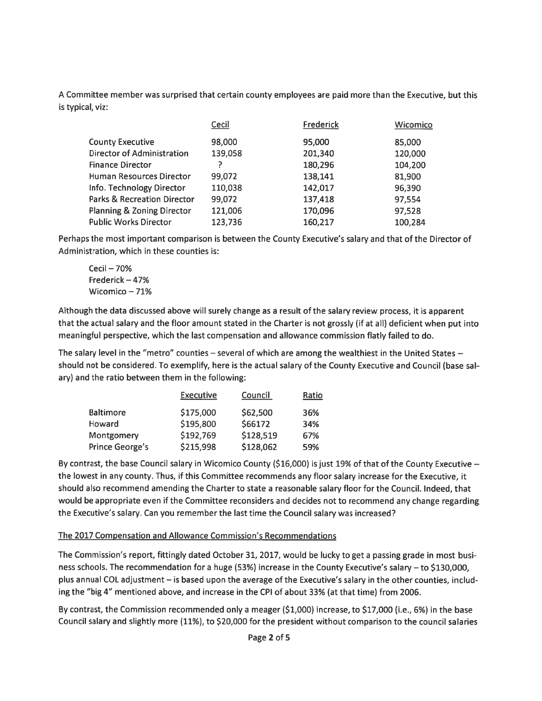A Committee member was surprised that certain county employees are paid more than the Executive, but this is typical, viz:

|                                        | Cecil   | Frederick | Wicomico |
|----------------------------------------|---------|-----------|----------|
| <b>County Executive</b>                | 98,000  | 95,000    | 85,000   |
| <b>Director of Administration</b>      | 139,058 | 201,340   | 120,000  |
| <b>Finance Director</b>                |         | 180,296   | 104,200  |
| <b>Human Resources Director</b>        | 99,072  | 138,141   | 81,900   |
| Info. Technology Director              | 110,038 | 142,017   | 96,390   |
| <b>Parks &amp; Recreation Director</b> | 99,072  | 137,418   | 97,554   |
| <b>Planning &amp; Zoning Director</b>  | 121,006 | 170,096   | 97,528   |
| <b>Public Works Director</b>           | 123,736 | 160,217   | 100,284  |

Perhaps the most important comparison is between the County Executive's salary and that of the Director of Administration, which in these counties is:

Cecil — 70% Frederick — 47% Wicomico — 71%

Although the data discussed above will surely change as <sup>a</sup> result of the salary review process, it is apparen<sup>t</sup> that the actual salary and the floor amount stated in the Charter is not grossly (if at all) deficient when pu<sup>t</sup> into meaningful perspective, which the last compensation and allowance commission flatly failed to do.

The salary level in the "metro" counties — several of which are among the wealthiest in the United States should not be considered. To exemplify, here is the actual salary of the County Executive and Council (base sal ary) and the ratio between them in the following:

|                 | <b>Executive</b> | Council   | Ratio |
|-----------------|------------------|-----------|-------|
| Baltimore       | \$175,000        | \$62,500  | 36%   |
| Howard          | \$195,800        | \$66172   | 34%   |
| Montgomery      | \$192,769        | \$128,519 | 67%   |
| Prince George's | \$215,998        | \$128,062 | 59%   |

By contrast, the base Council salary in Wicomico County (\$16,000) is just 19% of that of the County Executive the lowest in any county. Thus, if this Committee recommends any floor salary increase for the Executive, it should also recommend amending the Charter to state <sup>a</sup> reasonable salary floor for the Council. Indeed, that would be appropriate even if the Committee reconsiders and decides not to recommend any change regarding the Executive's salary. Can you remember the last time the Council salary was increased?

### The 2017 Compensation and Allowance Commission's Recommendations

The Commission's report, fittingly dated October 31, 2017, would be lucky to ge<sup>t</sup> <sup>a</sup> passing grade in most busi ness schools. The recommendation for <sup>a</sup> huge (53%) increase in the County Executive's salary — to \$130,000, plus annual CDL adjustment — is based upon the average of the Executive's salary in the other counties, includ ing the "big 4" mentioned above, and increase in the CPI of about 33% (at that time) from 2006.

By contrast, the Commission recommended only <sup>a</sup> meager (\$1,000) increase, to \$17,000 (i.e., 6%) in the base Council salary and slightly more (11%), to \$20,000 for the president without comparison to the council salaries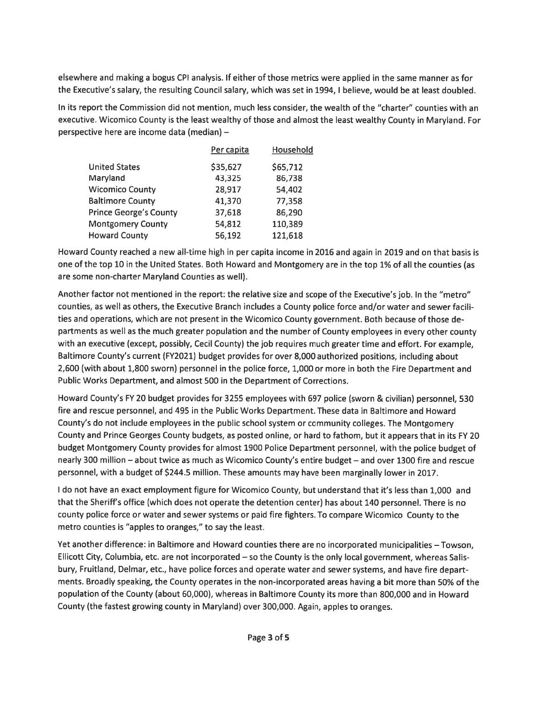elsewhere and making <sup>a</sup> bogus CPI analysis. If either of those metrics were applied in the same manner as for the Executive's salary, the resulting Council salary, which was set in 1994, I believe, would be at least doubled.

In its repor<sup>t</sup> the Commission did not mention, much less consider, the wealth of the "charter" counties with an executive. Wicomico County is the least wealthy of those and almost the least wealthy County in Maryland. For perspective here are income data (median) —

|                               | Per capita | Household |
|-------------------------------|------------|-----------|
| <b>United States</b>          | \$35,627   | \$65,712  |
| Maryland                      | 43,325     | 86,738    |
| <b>Wicomico County</b>        | 28,917     | 54,402    |
| <b>Baltimore County</b>       | 41,370     | 77,358    |
| <b>Prince George's County</b> | 37,618     | 86,290    |
| <b>Montgomery County</b>      | 54,812     | 110,389   |
| <b>Howard County</b>          | 56,192     | 121,618   |

Howard County reached <sup>a</sup> new all-time high in per capita income in 2016 and again in 2019 and on that basis is one of the top 10 in the United States. Both Howard and Montgomery are in the top 1% of all the counties (as are some non-charter Maryland Counties as well).

Another factor not mentioned in the report: the relative size and scope of the Executive's job. In the "metro" counties, as well as others, the Executive Branch includes <sup>a</sup> County police force and/or water and sewer facili ties and operations, which are not presen<sup>t</sup> in the Wicomico County government. Both because of those de partments as well as the much greater population and the number of County employees in every other county with an executive (except, possibly, Cecil County) the job requires much greater time and effort. For example, Baltimore County's current (FY2021) budget provides for over 8,000 authorized positions, including about 2,600 (with about 1,800 sworn) personnel in the police force, 1,000 or more in both the Fire Department and Public Works Department, and almost 500 in the Department of Corrections.

Howard County's FY 20 budget provides for 3255 employees with 697 police (sworn & civilian) personnel, 530 fire and rescue personnel, and 495 in the Public Works Department. These data in Baltimore and Howard County's do not include employees in the public school system or community colleges. The Montgomery County and Prince Georges County budgets, as posted online, or hard to fathom, but it appears that in its FY 20 budget Montgomery County provides for almost 1900 Police Department personnel, with the police budget of nearly 300 million — about twice as much as Wicomico County's entire budget — and over 1300 fire and rescue personnel, with <sup>a</sup> budget of \$244.5 million. These amounts may have been marginally lower in 2017.

I do not have an exact employment figure for Wicomico County, but understand that it's less than 1,000 and that the Sheriff's office (which does not operate the detention center) has about <sup>140</sup> personnel. There is no county police force or water and sewer systems or paid fire fighters. To compare Wicomico County to the metro counties is "apples to oranges," to say the least.

Yet another difference: in Baltimore and Howard counties there are no incorporated municipalities — Towson, Ellicott City, Columbia, etc. are not incorporated — so the County is the only local government, whereas Salis bury, Fruitland, Delmar, etc., have police forces and operate water and sewer systems, and have fire depart ments. Broadly speaking, the County operates in the non-incorporated areas having <sup>a</sup> bit more than 50% of the population of the County (about 60,000), whereas in Baltimore County its more than 800,000 and in Howard County (the fastest growing county in Maryland) over 300,000. Again, apples to oranges.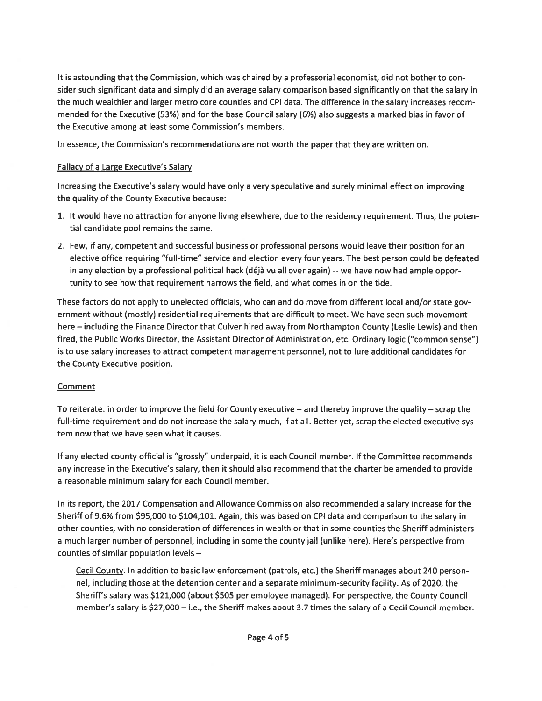It is astounding that the Commission, which was chaired by <sup>a</sup> professorial economist, did not bother to con sider such significant data and simply did an average salary comparison based significantly on that the salary in the much wealthier and larger metro core counties and CPI data. The difference in the salary increases recom mended for the Executive (53%) and for the base Council salary (6%) also suggests <sup>a</sup> marked bias in favor of the Executive among at least some Commission's members.

In essence, the Commission's recommendations are not worth the paper that they are written on.

## Fallacy of <sup>a</sup> Large Executive's Salary

Increasing the Executive's salary would have only <sup>a</sup> very speculative and surely minimal effect on improving the quality of the County Executive because:

- 1. It would have no attraction for anyone living elsewhere, due to the residency requirement. Thus, the poten tial candidate pool remains the same.
- 2. Few, if any, competent and successful business or professional persons would leave their position for an elective office requiring "full-time" service and election every four years. The best person could be defeated in any election by <sup>a</sup> professional political hack (déjà vu all over again) --we have now had ample oppor tunity to see how that requirement narrows the field, and what comes in on the tide.

These factors do not apply to unelected officials, who can and do move from different local and/or state gov ernment without (mostly) residential requirements that are difficult to meet. We have seen such movement here — including the Finance Director that Culver hired away from Northampton County (Leslie Lewis) and then fired, the Public Works Director, the Assistant Director of Administration, etc. Ordinary logic ("common sense") is to use salary increases to attract competent managemen<sup>t</sup> personnel, not to lure additional candidates for the County Executive position.

# **Comment**

To reiterate: in order to improve the field for County executive — and thereby improve the quality — scrap the full-time requirement and do not increase the salary much, if at all. Better yet, scrap the elected executive sys tem now that we have seen what it causes.

If any elected county official is "grossly" underpaid, it is each Council member. If the Committee recommends any increase in the Executive's salary, then it should also recommend that the charter be amended to provide <sup>a</sup> reasonable minimum salary for each Council member.

In its report, the 2017 Compensation and Allowance Commission also recommended <sup>a</sup> salary increase for the Sheriff of 9.6% from \$95,000 to \$104,101. Again, this was based on CPI data and comparison to the salary in other counties, with no consideration of differences in wealth or that in some counties the Sheriff administers <sup>a</sup> much larger number of personnel, including in some the county jail (unlike here). Here's perspective from counties of similar population levels —

Cecil County. In addition to basic law enforcement (patrols, etc.) the Sheriff manages about 240 person nel, including those at the detention center and <sup>a</sup> separate minimum-security facility. As of 2020, the Sheriff's salary was \$121,000 (about \$505 per employee managed). For perspective, the County Council member's salary is \$27,000 — i.e., the Sheriff makes about 3.7 times the salary of <sup>a</sup> Cecil Council member.